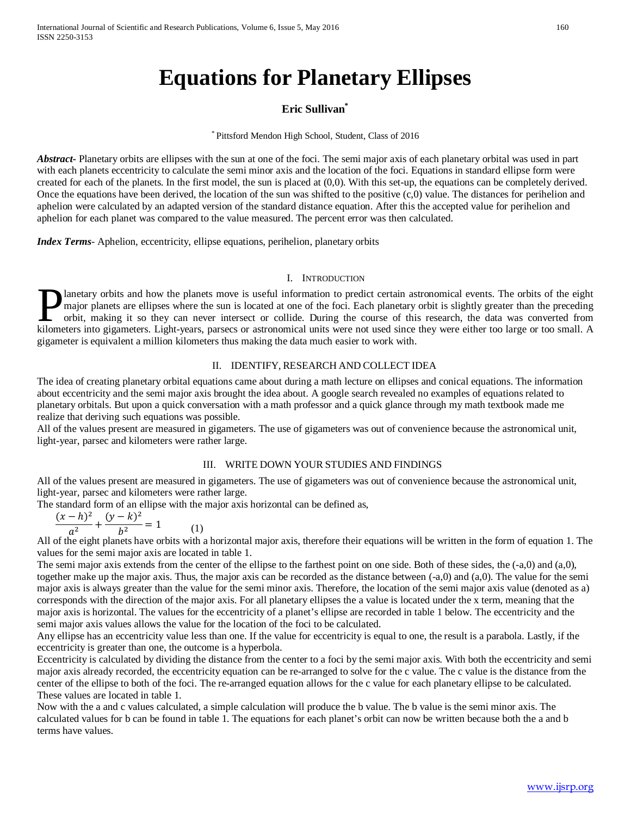# **Equations for Planetary Ellipses**

## **Eric Sullivan\***

\* Pittsford Mendon High School, Student, Class of 2016

*Abstract***-** Planetary orbits are ellipses with the sun at one of the foci. The semi major axis of each planetary orbital was used in part with each planets eccentricity to calculate the semi minor axis and the location of the foci. Equations in standard ellipse form were created for each of the planets. In the first model, the sun is placed at (0,0). With this set-up, the equations can be completely derived. Once the equations have been derived, the location of the sun was shifted to the positive  $(c,0)$  value. The distances for perihelion and aphelion were calculated by an adapted version of the standard distance equation. After this the accepted value for perihelion and aphelion for each planet was compared to the value measured. The percent error was then calculated.

*Index Terms*- Aphelion, eccentricity, ellipse equations, perihelion, planetary orbits

### I. INTRODUCTION

lanetary orbits and how the planets move is useful information to predict certain astronomical events. The orbits of the eight major planets are ellipses where the sun is located at one of the foci. Each planetary orbit is slightly greater than the preceding orbit, making it so they can never intersect or collide. During the course of this research, the data was converted from Innetary orbits and how the planets move is useful information to predict certain astronomical events. The orbits of the eight major planets are ellipses where the sun is located at one of the foci. Each planetary orbit is gigameter is equivalent a million kilometers thus making the data much easier to work with.

## II. IDENTIFY, RESEARCH AND COLLECT IDEA

The idea of creating planetary orbital equations came about during a math lecture on ellipses and conical equations. The information about eccentricity and the semi major axis brought the idea about. A google search revealed no examples of equations related to planetary orbitals. But upon a quick conversation with a math professor and a quick glance through my math textbook made me realize that deriving such equations was possible.

All of the values present are measured in gigameters. The use of gigameters was out of convenience because the astronomical unit, light-year, parsec and kilometers were rather large.

### III. WRITE DOWN YOUR STUDIES AND FINDINGS

All of the values present are measured in gigameters. The use of gigameters was out of convenience because the astronomical unit, light-year, parsec and kilometers were rather large.

The standard form of an ellipse with the major axis horizontal can be defined as,

$$
\frac{(x-h)^2}{a^2} + \frac{(y-k)^2}{b^2} = 1
$$

 $\frac{(x-h)^2}{a^2} + \frac{(y-k)^2}{b^2} = 1$  (1)<br>All of the eight planets have orbits with a horizontal major axis, therefore their equations will be written in the form of equation 1. The values for the semi major axis are located in table 1.

The semi major axis extends from the center of the ellipse to the farthest point on one side. Both of these sides, the (-a,0) and (a,0), together make up the major axis. Thus, the major axis can be recorded as the distance between (-a,0) and (a,0). The value for the semi major axis is always greater than the value for the semi minor axis. Therefore, the location of the semi major axis value (denoted as a) corresponds with the direction of the major axis. For all planetary ellipses the a value is located under the x term, meaning that the major axis is horizontal. The values for the eccentricity of a planet's ellipse are recorded in table 1 below. The eccentricity and the semi major axis values allows the value for the location of the foci to be calculated.

Any ellipse has an eccentricity value less than one. If the value for eccentricity is equal to one, the result is a parabola. Lastly, if the eccentricity is greater than one, the outcome is a hyperbola.

Eccentricity is calculated by dividing the distance from the center to a foci by the semi major axis. With both the eccentricity and semi major axis already recorded, the eccentricity equation can be re-arranged to solve for the c value. The c value is the distance from the center of the ellipse to both of the foci. The re-arranged equation allows for the c value for each planetary ellipse to be calculated. These values are located in table 1.

Now with the a and c values calculated, a simple calculation will produce the b value. The b value is the semi minor axis. The calculated values for b can be found in table 1. The equations for each planet's orbit can now be written because both the a and b terms have values.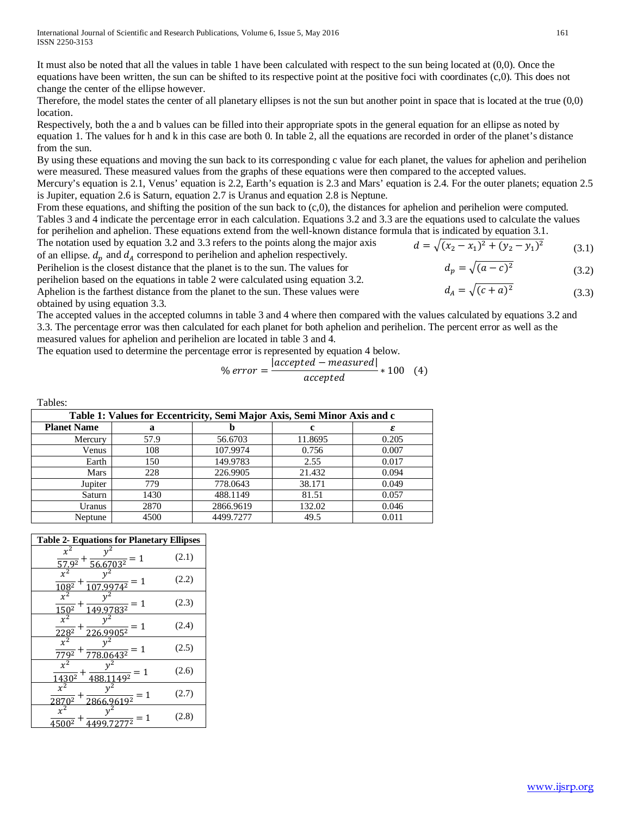It must also be noted that all the values in table 1 have been calculated with respect to the sun being located at (0,0). Once the equations have been written, the sun can be shifted to its respective point at the positive foci with coordinates (c,0). This does not change the center of the ellipse however.

Therefore, the model states the center of all planetary ellipses is not the sun but another point in space that is located at the true (0,0) location.

Respectively, both the a and b values can be filled into their appropriate spots in the general equation for an ellipse as noted by equation 1. The values for h and k in this case are both 0. In table 2, all the equations are recorded in order of the planet's distance from the sun.

By using these equations and moving the sun back to its corresponding c value for each planet, the values for aphelion and perihelion were measured. These measured values from the graphs of these equations were then compared to the accepted values.

Mercury's equation is 2.1, Venus' equation is 2.2, Earth's equation is 2.3 and Mars' equation is 2.4. For the outer planets; equation 2.5 is Jupiter, equation 2.6 is Saturn, equation 2.7 is Uranus and equation 2.8 is Neptune.

From these equations, and shifting the position of the sun back to (c,0), the distances for aphelion and perihelion were computed. Tables 3 and 4 indicate the percentage error in each calculation. Equations 3.2 and 3.3 are the equations used to calculate the values for perihelion and aphelion. These equations extend from the well-known distance formula that is indicated by equation 3.1.

The notation used by equation 3.2 and 3.3 refers to the points along the major axis of an ellipse.  $d_n$  and  $d_A$  correspond to perihelion and aphelion respectively.

Perihelion is the closest distance that the planet is to the sun. The values for

perihelion based on the equations in table 2 were calculated using equation 3.2.

Aphelion is the farthest distance from the planet to the sun. These values were

obtained by using equation 3.3.

The accepted values in the accepted columns in table 3 and 4 where then compared with the values calculated by equations 3.2 and 3.3. The percentage error was then calculated for each planet for both aphelion and perihelion. The percent error as well as the measured values for aphelion and perihelion are located in table 3 and 4.

The equation used to determine the percentage error is represented by equation 4 below.

$$
\% \, error = \frac{|accepted - measured|}{accepted} * 100 \quad (4)
$$

Tables:

| Table 1: Values for Eccentricity, Semi Major Axis, Semi Minor Axis and c |      |           |         |       |  |  |
|--------------------------------------------------------------------------|------|-----------|---------|-------|--|--|
| <b>Planet Name</b>                                                       | a    |           |         | ε     |  |  |
| Mercury                                                                  | 57.9 | 56.6703   | 11.8695 | 0.205 |  |  |
| Venus                                                                    | 108  | 107.9974  | 0.756   | 0.007 |  |  |
| Earth                                                                    | 150  | 149.9783  | 2.55    | 0.017 |  |  |
| Mars                                                                     | 228  | 226.9905  | 21.432  | 0.094 |  |  |
| Jupiter                                                                  | 779  | 778.0643  | 38.171  | 0.049 |  |  |
| Saturn                                                                   | 1430 | 488.1149  | 81.51   | 0.057 |  |  |
| Uranus                                                                   | 2870 | 2866.9619 | 132.02  | 0.046 |  |  |
| Neptune                                                                  | 4500 | 4499.7277 | 49.5    | 0.011 |  |  |
|                                                                          |      |           |         |       |  |  |

| $x^2$<br>$\frac{1}{56.6703^2} = 1$<br>57.92                                    | (2.1) |
|--------------------------------------------------------------------------------|-------|
| $x^2$<br>$=1$<br>$74^2$<br>$108^{2}$                                           | (2.2) |
| $x^2$<br>$=1\,$<br>832<br>$150^{2}$                                            | (2.3) |
| $x^2$<br>-1<br>$=$<br>$228^{2}$<br>$05^{2}$                                    | (2.4) |
| $x^2$<br>$=1$<br>$643^2$<br>$779^2$                                            | (2.5) |
| $x^2$<br>$\frac{1}{49^2} = 1$<br>$+$<br>$\frac{1\overline{430^2}}{x^2}$<br>488 | (2.6) |
| $\frac{619^2}{9} = 1$<br>$\Omega$<br>286<br>287<br>6.9                         | (2.7) |
| $x^2$<br>1<br>$=$<br>72772<br>45002                                            | (2.8) |

$$
161 \\
$$

$$
d = \sqrt{(x_2 - x_1)^2 + (y_2 - y_1)^2}
$$
 (3.1)

$$
d_p = \sqrt{(a-c)^2} \tag{3.2}
$$

$$
d_A = \sqrt{(c+a)^2} \tag{3.3}
$$

$$
a_p = \sqrt{(a+c)}
$$
  
\n
$$
d_A = \sqrt{(c+a)^2}
$$
\n(3)

$$
d_A = \sqrt{(c+a)^2}
$$

$$
d_A = \sqrt{(c+a)^2}
$$